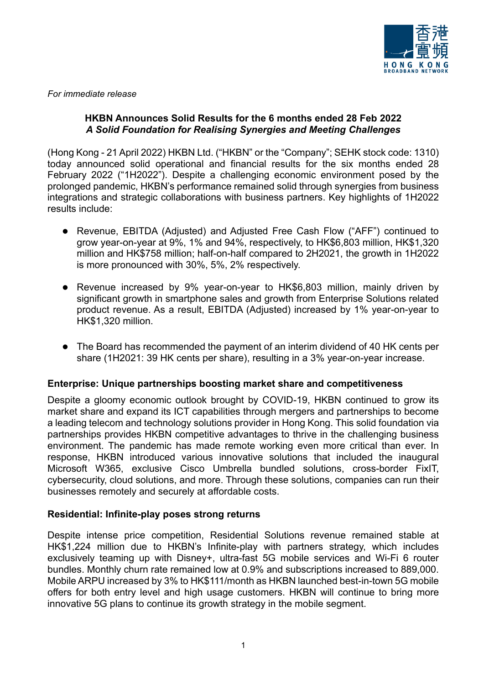

*For immediate release*

# **HKBN Announces Solid Results for the 6 months ended 28 Feb 2022** *A Solid Foundation for Realising Synergies and Meeting Challenges*

(Hong Kong - 21 April 2022) HKBN Ltd. ("HKBN" or the "Company"; SEHK stock code: 1310) today announced solid operational and financial results for the six months ended 28 February 2022 ("1H2022"). Despite a challenging economic environment posed by the prolonged pandemic, HKBN's performance remained solid through synergies from business integrations and strategic collaborations with business partners. Key highlights of 1H2022 results include:

- Revenue, EBITDA (Adjusted) and Adjusted Free Cash Flow ("AFF") continued to grow year-on-year at 9%, 1% and 94%, respectively, to HK\$6,803 million, HK\$1,320 million and HK\$758 million; half-on-half compared to 2H2021, the growth in 1H2022 is more pronounced with 30%, 5%, 2% respectively.
- ⚫ Revenue increased by 9% year-on-year to HK\$6,803 million, mainly driven by significant growth in smartphone sales and growth from Enterprise Solutions related product revenue. As a result, EBITDA (Adjusted) increased by 1% year-on-year to HK\$1,320 million.
- The Board has recommended the payment of an interim dividend of 40 HK cents per share (1H2021: 39 HK cents per share), resulting in a 3% year-on-year increase.

# **Enterprise: Unique partnerships boosting market share and competitiveness**

Despite a gloomy economic outlook brought by COVID-19, HKBN continued to grow its market share and expand its ICT capabilities through mergers and partnerships to become a leading telecom and technology solutions provider in Hong Kong. This solid foundation via partnerships provides HKBN competitive advantages to thrive in the challenging business environment. The pandemic has made remote working even more critical than ever. In response, HKBN introduced various innovative solutions that included the inaugural Microsoft W365, exclusive Cisco Umbrella bundled solutions, cross-border FixIT, cybersecurity, cloud solutions, and more. Through these solutions, companies can run their businesses remotely and securely at affordable costs.

# **Residential: Infinite-play poses strong returns**

Despite intense price competition, Residential Solutions revenue remained stable at HK\$1,224 million due to HKBN's Infinite-play with partners strategy, which includes exclusively teaming up with Disney+, ultra-fast 5G mobile services and Wi-Fi 6 router bundles. Monthly churn rate remained low at 0.9% and subscriptions increased to 889,000. Mobile ARPU increased by 3% to HK\$111/month as HKBN launched best-in-town 5G mobile offers for both entry level and high usage customers. HKBN will continue to bring more innovative 5G plans to continue its growth strategy in the mobile segment.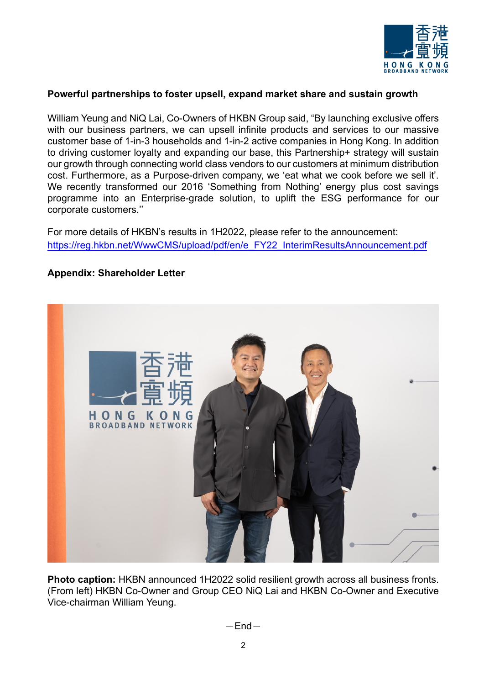

### **Powerful partnerships to foster upsell, expand market share and sustain growth**

William Yeung and NiQ Lai, Co-Owners of HKBN Group said, "By launching exclusive offers with our business partners, we can upsell infinite products and services to our massive customer base of 1-in-3 households and 1-in-2 active companies in Hong Kong. In addition to driving customer loyalty and expanding our base, this Partnership+ strategy will sustain our growth through connecting world class vendors to our customers at minimum distribution cost. Furthermore, as a Purpose-driven company, we 'eat what we cook before we sell it'. We recently transformed our 2016 'Something from Nothing' energy plus cost savings programme into an Enterprise-grade solution, to uplift the ESG performance for our corporate customers.''

For more details of HKBN's results in 1H2022, please refer to the announcement: [https://reg.hkbn.net/WwwCMS/upload/pdf/en/e\\_FY22\\_InterimResultsAnnouncement.pdf](https://reg.hkbn.net/WwwCMS/upload/pdf/en/e_FY22_InterimResultsAnnouncement.pdf)

#### **Appendix: Shareholder Letter**



**Photo caption:** HKBN announced 1H2022 solid resilient growth across all business fronts. (From left) HKBN Co-Owner and Group CEO NiQ Lai and HKBN Co-Owner and Executive Vice-chairman William Yeung.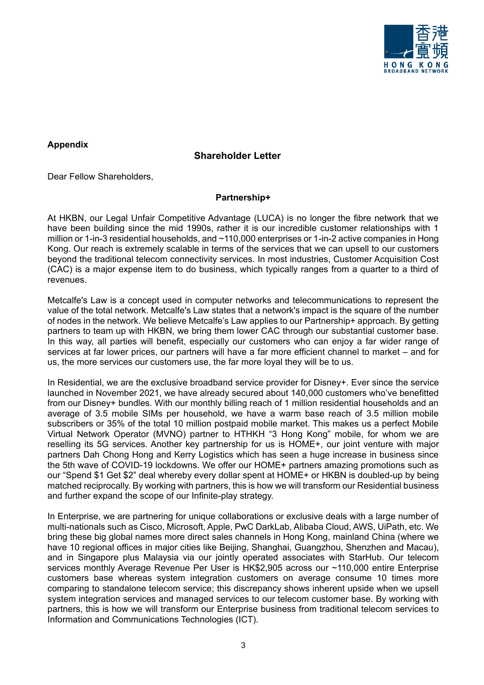

### **Appendix**

# **Shareholder Letter**

Dear Fellow Shareholders,

#### **Partnership+**

At HKBN, our Legal Unfair Competitive Advantage (LUCA) is no longer the fibre network that we have been building since the mid 1990s, rather it is our incredible customer relationships with 1 million or 1-in-3 residential households, and ~110,000 enterprises or 1-in-2 active companies in Hong Kong. Our reach is extremely scalable in terms of the services that we can upsell to our customers beyond the traditional telecom connectivity services. In most industries, Customer Acquisition Cost (CAC) is a major expense item to do business, which typically ranges from a quarter to a third of revenues.

Metcalfe's Law is a concept used in computer networks and telecommunications to represent the value of the total network. Metcalfe's Law states that a network's impact is the square of the number of nodes in the network. We believe Metcalfe's Law applies to our Partnership+ approach. By getting partners to team up with HKBN, we bring them lower CAC through our substantial customer base. In this way, all parties will benefit, especially our customers who can enjoy a far wider range of services at far lower prices, our partners will have a far more efficient channel to market – and for us, the more services our customers use, the far more loyal they will be to us.

In Residential, we are the exclusive broadband service provider for Disney+. Ever since the service launched in November 2021, we have already secured about 140,000 customers who've benefitted from our Disney+ bundles. With our monthly billing reach of 1 million residential households and an average of 3.5 mobile SIMs per household, we have a warm base reach of 3.5 million mobile subscribers or 35% of the total 10 million postpaid mobile market. This makes us a perfect Mobile Virtual Network Operator (MVNO) partner to HTHKH "3 Hong Kong" mobile, for whom we are reselling its 5G services. Another key partnership for us is HOME+, our joint venture with major partners Dah Chong Hong and Kerry Logistics which has seen a huge increase in business since the 5th wave of COVID-19 lockdowns. We offer our HOME+ partners amazing promotions such as our "Spend \$1 Get \$2" deal whereby every dollar spent at HOME+ or HKBN is doubled-up by being matched reciprocally. By working with partners, this is how we will transform our Residential business and further expand the scope of our Infinite-play strategy.

In Enterprise, we are partnering for unique collaborations or exclusive deals with a large number of multi-nationals such as Cisco, Microsoft, Apple, PwC DarkLab, Alibaba Cloud, AWS, UiPath, etc. We bring these big global names more direct sales channels in Hong Kong, mainland China (where we have 10 regional offices in major cities like Beijing, Shanghai, Guangzhou, Shenzhen and Macau), and in Singapore plus Malaysia via our jointly operated associates with StarHub. Our telecom services monthly Average Revenue Per User is HK\$2,905 across our ~110,000 entire Enterprise customers base whereas system integration customers on average consume 10 times more comparing to standalone telecom service; this discrepancy shows inherent upside when we upsell system integration services and managed services to our telecom customer base. By working with partners, this is how we will transform our Enterprise business from traditional telecom services to Information and Communications Technologies (ICT).